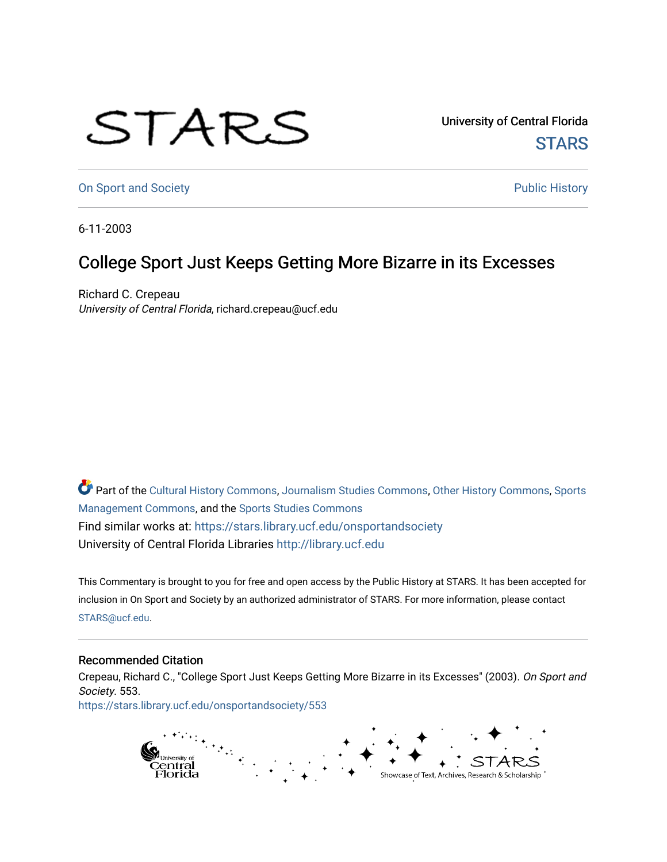## STARS

University of Central Florida **STARS** 

[On Sport and Society](https://stars.library.ucf.edu/onsportandsociety) **Public History** Public History

6-11-2003

## College Sport Just Keeps Getting More Bizarre in its Excesses

Richard C. Crepeau University of Central Florida, richard.crepeau@ucf.edu

Part of the [Cultural History Commons](http://network.bepress.com/hgg/discipline/496?utm_source=stars.library.ucf.edu%2Fonsportandsociety%2F553&utm_medium=PDF&utm_campaign=PDFCoverPages), [Journalism Studies Commons,](http://network.bepress.com/hgg/discipline/333?utm_source=stars.library.ucf.edu%2Fonsportandsociety%2F553&utm_medium=PDF&utm_campaign=PDFCoverPages) [Other History Commons,](http://network.bepress.com/hgg/discipline/508?utm_source=stars.library.ucf.edu%2Fonsportandsociety%2F553&utm_medium=PDF&utm_campaign=PDFCoverPages) [Sports](http://network.bepress.com/hgg/discipline/1193?utm_source=stars.library.ucf.edu%2Fonsportandsociety%2F553&utm_medium=PDF&utm_campaign=PDFCoverPages) [Management Commons](http://network.bepress.com/hgg/discipline/1193?utm_source=stars.library.ucf.edu%2Fonsportandsociety%2F553&utm_medium=PDF&utm_campaign=PDFCoverPages), and the [Sports Studies Commons](http://network.bepress.com/hgg/discipline/1198?utm_source=stars.library.ucf.edu%2Fonsportandsociety%2F553&utm_medium=PDF&utm_campaign=PDFCoverPages) Find similar works at: <https://stars.library.ucf.edu/onsportandsociety> University of Central Florida Libraries [http://library.ucf.edu](http://library.ucf.edu/) 

This Commentary is brought to you for free and open access by the Public History at STARS. It has been accepted for inclusion in On Sport and Society by an authorized administrator of STARS. For more information, please contact [STARS@ucf.edu](mailto:STARS@ucf.edu).

## Recommended Citation

Crepeau, Richard C., "College Sport Just Keeps Getting More Bizarre in its Excesses" (2003). On Sport and Society. 553.

[https://stars.library.ucf.edu/onsportandsociety/553](https://stars.library.ucf.edu/onsportandsociety/553?utm_source=stars.library.ucf.edu%2Fonsportandsociety%2F553&utm_medium=PDF&utm_campaign=PDFCoverPages)

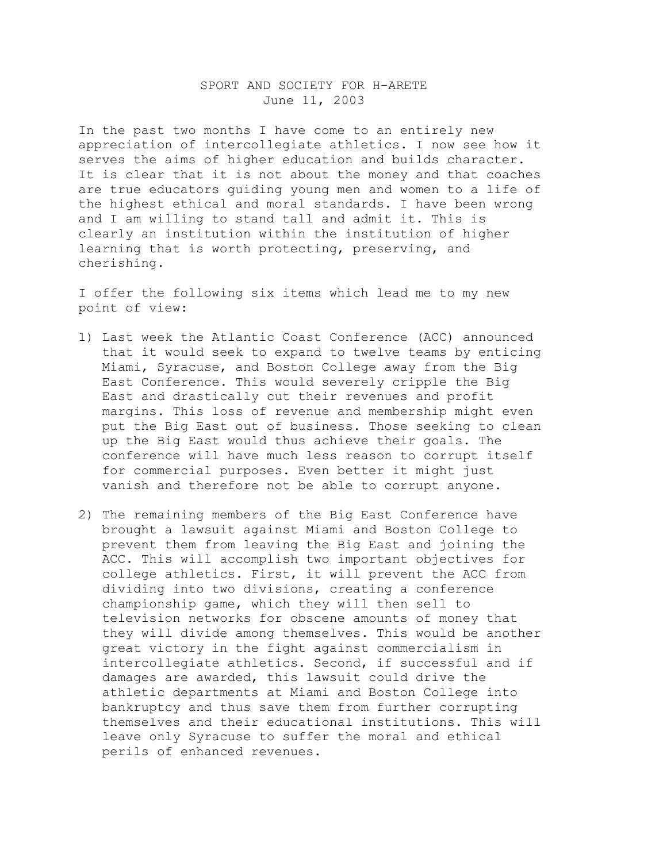## SPORT AND SOCIETY FOR H-ARETE June 11, 2003

In the past two months I have come to an entirely new appreciation of intercollegiate athletics. I now see how it serves the aims of higher education and builds character. It is clear that it is not about the money and that coaches are true educators guiding young men and women to a life of the highest ethical and moral standards. I have been wrong and I am willing to stand tall and admit it. This is clearly an institution within the institution of higher learning that is worth protecting, preserving, and cherishing.

I offer the following six items which lead me to my new point of view:

- 1) Last week the Atlantic Coast Conference (ACC) announced that it would seek to expand to twelve teams by enticing Miami, Syracuse, and Boston College away from the Big East Conference. This would severely cripple the Big East and drastically cut their revenues and profit margins. This loss of revenue and membership might even put the Big East out of business. Those seeking to clean up the Big East would thus achieve their goals. The conference will have much less reason to corrupt itself for commercial purposes. Even better it might just vanish and therefore not be able to corrupt anyone.
- 2) The remaining members of the Big East Conference have brought a lawsuit against Miami and Boston College to prevent them from leaving the Big East and joining the ACC. This will accomplish two important objectives for college athletics. First, it will prevent the ACC from dividing into two divisions, creating a conference championship game, which they will then sell to television networks for obscene amounts of money that they will divide among themselves. This would be another great victory in the fight against commercialism in intercollegiate athletics. Second, if successful and if damages are awarded, this lawsuit could drive the athletic departments at Miami and Boston College into bankruptcy and thus save them from further corrupting themselves and their educational institutions. This will leave only Syracuse to suffer the moral and ethical perils of enhanced revenues.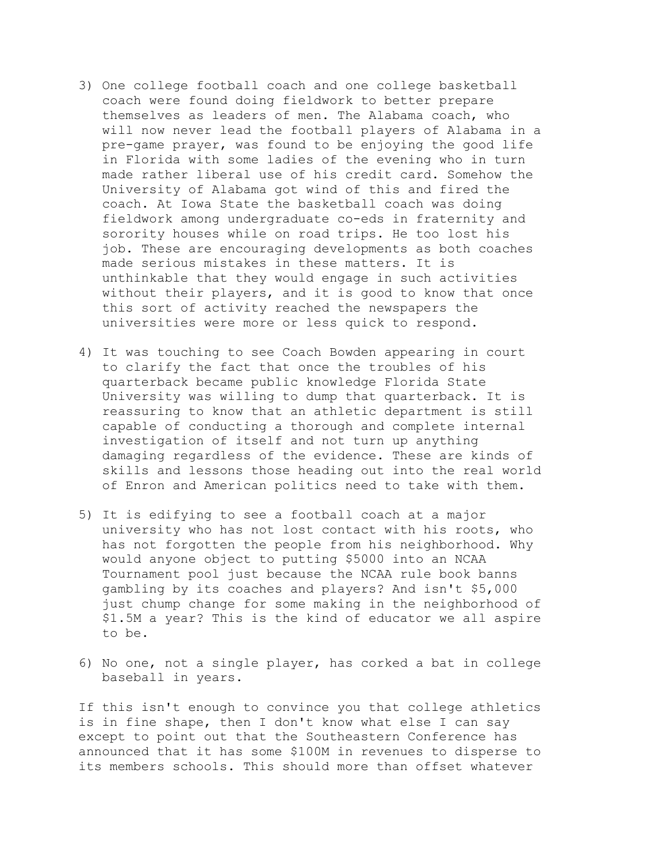- 3) One college football coach and one college basketball coach were found doing fieldwork to better prepare themselves as leaders of men. The Alabama coach, who will now never lead the football players of Alabama in a pre-game prayer, was found to be enjoying the good life in Florida with some ladies of the evening who in turn made rather liberal use of his credit card. Somehow the University of Alabama got wind of this and fired the coach. At Iowa State the basketball coach was doing fieldwork among undergraduate co-eds in fraternity and sorority houses while on road trips. He too lost his job. These are encouraging developments as both coaches made serious mistakes in these matters. It is unthinkable that they would engage in such activities without their players, and it is good to know that once this sort of activity reached the newspapers the universities were more or less quick to respond.
- 4) It was touching to see Coach Bowden appearing in court to clarify the fact that once the troubles of his quarterback became public knowledge Florida State University was willing to dump that quarterback. It is reassuring to know that an athletic department is still capable of conducting a thorough and complete internal investigation of itself and not turn up anything damaging regardless of the evidence. These are kinds of skills and lessons those heading out into the real world of Enron and American politics need to take with them.
- 5) It is edifying to see a football coach at a major university who has not lost contact with his roots, who has not forgotten the people from his neighborhood. Why would anyone object to putting \$5000 into an NCAA Tournament pool just because the NCAA rule book banns gambling by its coaches and players? And isn't \$5,000 just chump change for some making in the neighborhood of \$1.5M a year? This is the kind of educator we all aspire to be.
- 6) No one, not a single player, has corked a bat in college baseball in years.

If this isn't enough to convince you that college athletics is in fine shape, then I don't know what else I can say except to point out that the Southeastern Conference has announced that it has some \$100M in revenues to disperse to its members schools. This should more than offset whatever